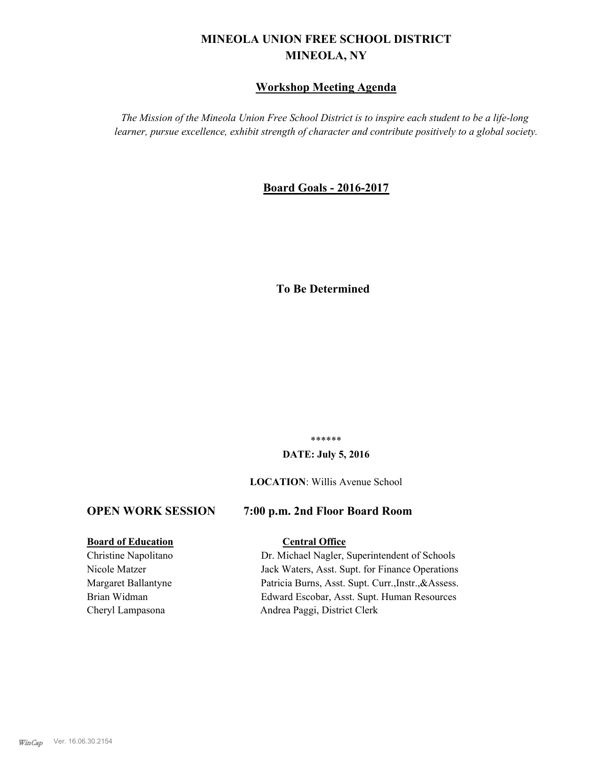## **MINEOLA UNION FREE SCHOOL DISTRICT MINEOLA, NY**

#### **Workshop Meeting Agenda**

*The Mission of the Mineola Union Free School District is to inspire each student to be a life-long learner, pursue excellence, exhibit strength of character and contribute positively to a global society.*

#### **Board Goals - 2016-2017**

### **To Be Determined**

\*\*\*\*\*\*

#### **DATE: July 5, 2016**

#### **LOCATION**: Willis Avenue School

#### **OPEN WORK SESSION 7:00 p.m. 2nd Floor Board Room**

#### **Board of Education Central Office**

# Christine Napolitano Dr. Michael Nagler, Superintendent of Schools Nicole Matzer Jack Waters, Asst. Supt. for Finance Operations

Margaret Ballantyne Patricia Burns, Asst. Supt. Curr.,Instr.,&Assess. Brian Widman Edward Escobar, Asst. Supt. Human Resources Cheryl Lampasona Andrea Paggi, District Clerk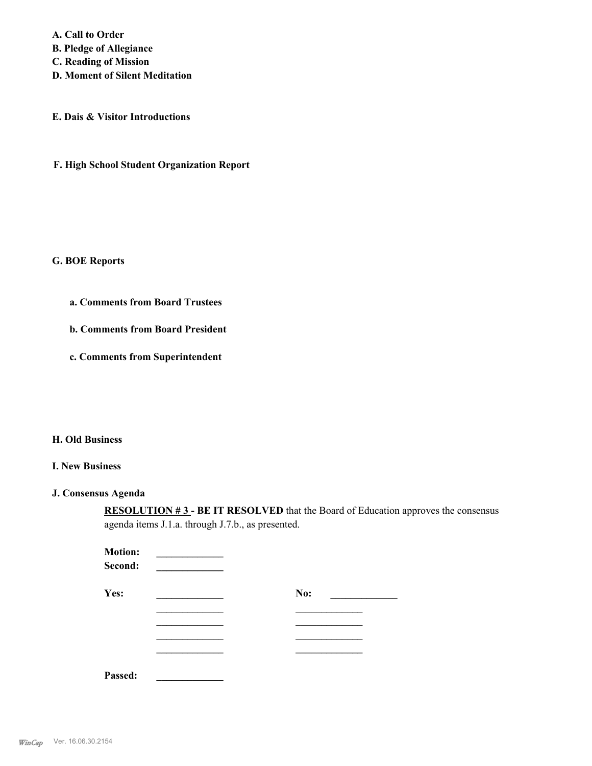**A. Call to Order B. Pledge of Allegiance C. Reading of Mission D. Moment of Silent Meditation**

**E. Dais & Visitor Introductions**

**F. High School Student Organization Report**

#### **G. BOE Reports**

- **a. Comments from Board Trustees**
- **b. Comments from Board President**
- **c. Comments from Superintendent**

#### **H. Old Business**

#### **I. New Business**

#### **J. Consensus Agenda**

**RESOLUTION #3 - BE IT RESOLVED** that the Board of Education approves the consensus agenda items J.1.a. through J.7.b., as presented.

| <b>Motion:</b><br>Second: |     |  |
|---------------------------|-----|--|
| Yes:                      | No: |  |
|                           |     |  |
|                           |     |  |
|                           |     |  |
|                           |     |  |
| Passed:                   |     |  |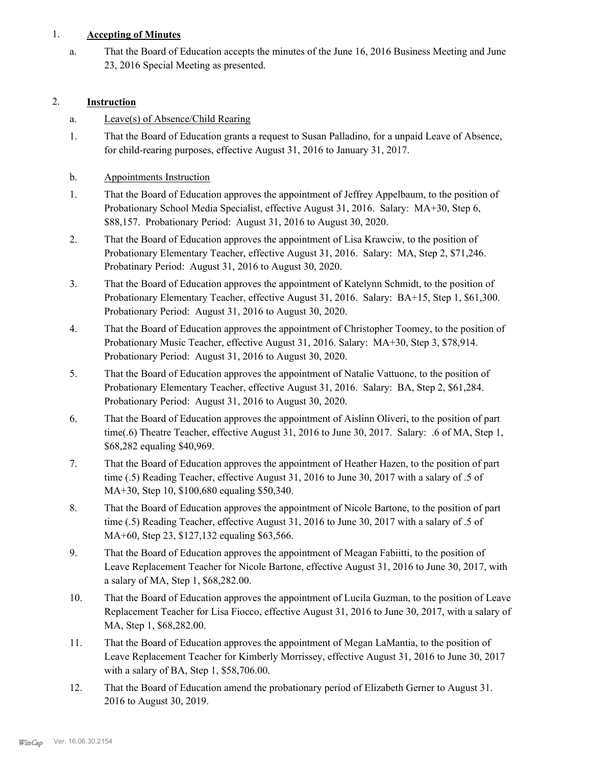#### 1. **Accepting of Minutes**

That the Board of Education accepts the minutes of the June 16, 2016 Business Meeting and June 23, 2016 Special Meeting as presented. a.

#### 2. **Instruction**

- a. Leave(s) of Absence/Child Rearing
- That the Board of Education grants a request to Susan Palladino, for a unpaid Leave of Absence, for child-rearing purposes, effective August 31, 2016 to January 31, 2017. 1.
- b. Appointments Instruction
- That the Board of Education approves the appointment of Jeffrey Appelbaum, to the position of Probationary School Media Specialist, effective August 31, 2016. Salary: MA+30, Step 6, \$88,157. Probationary Period: August 31, 2016 to August 30, 2020. 1.
- That the Board of Education approves the appointment of Lisa Krawciw, to the position of Probationary Elementary Teacher, effective August 31, 2016. Salary: MA, Step 2, \$71,246. Probatinary Period: August 31, 2016 to August 30, 2020. 2.
- That the Board of Education approves the appointment of Katelynn Schmidt, to the position of Probationary Elementary Teacher, effective August 31, 2016. Salary: BA+15, Step 1, \$61,300. Probationary Period: August 31, 2016 to August 30, 2020. 3.
- That the Board of Education approves the appointment of Christopher Toomey, to the position of Probationary Music Teacher, effective August 31, 2016. Salary: MA+30, Step 3, \$78,914. Probationary Period: August 31, 2016 to August 30, 2020. 4.
- That the Board of Education approves the appointment of Natalie Vattuone, to the position of Probationary Elementary Teacher, effective August 31, 2016. Salary: BA, Step 2, \$61,284. Probationary Period: August 31, 2016 to August 30, 2020. 5.
- That the Board of Education approves the appointment of Aislinn Oliveri, to the position of part time(.6) Theatre Teacher, effective August 31, 2016 to June 30, 2017. Salary: .6 of MA, Step 1, \$68,282 equaling \$40,969. 6.
- That the Board of Education approves the appointment of Heather Hazen, to the position of part time (.5) Reading Teacher, effective August 31, 2016 to June 30, 2017 with a salary of .5 of MA+30, Step 10, \$100,680 equaling \$50,340. 7.
- That the Board of Education approves the appointment of Nicole Bartone, to the position of part time (.5) Reading Teacher, effective August 31, 2016 to June 30, 2017 with a salary of .5 of MA+60, Step 23, \$127,132 equaling \$63,566. 8.
- That the Board of Education approves the appointment of Meagan Fabiitti, to the position of Leave Replacement Teacher for Nicole Bartone, effective August 31, 2016 to June 30, 2017, with a salary of MA, Step 1, \$68,282.00. 9.
- That the Board of Education approves the appointment of Lucila Guzman, to the position of Leave Replacement Teacher for Lisa Fiocco, effective August 31, 2016 to June 30, 2017, with a salary of MA, Step 1, \$68,282.00. 10.
- That the Board of Education approves the appointment of Megan LaMantia, to the position of Leave Replacement Teacher for Kimberly Morrissey, effective August 31, 2016 to June 30, 2017 with a salary of BA, Step 1, \$58,706.00. 11.
- That the Board of Education amend the probationary period of Elizabeth Gerner to August 31. 2016 to August 30, 2019. 12.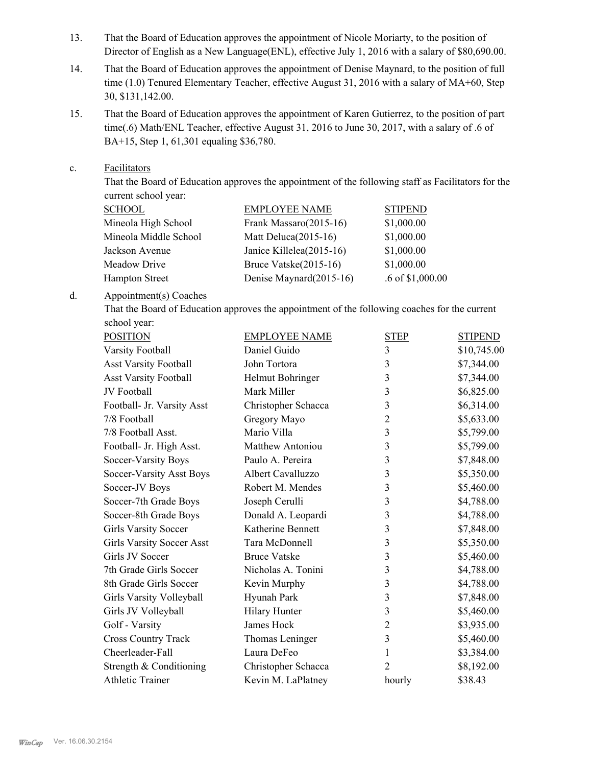- That the Board of Education approves the appointment of Nicole Moriarty, to the position of Director of English as a New Language(ENL), effective July 1, 2016 with a salary of \$80,690.00. 13.
- That the Board of Education approves the appointment of Denise Maynard, to the position of full time (1.0) Tenured Elementary Teacher, effective August 31, 2016 with a salary of MA+60, Step 30, \$131,142.00. 14.
- That the Board of Education approves the appointment of Karen Gutierrez, to the position of part time(.6) Math/ENL Teacher, effective August 31, 2016 to June 30, 2017, with a salary of .6 of BA+15, Step 1, 61,301 equaling \$36,780. 15.
- Facilitators c.

That the Board of Education approves the appointment of the following staff as Facilitators for the current school year:

| <b>EMPLOYEE NAME</b>     | <b>STIPEND</b>     |
|--------------------------|--------------------|
| Frank Massaro(2015-16)   | \$1,000.00         |
| Matt Deluca $(2015-16)$  | \$1,000.00         |
| Janice Killelea(2015-16) | \$1,000.00         |
| Bruce Vatske(2015-16)    | \$1,000.00         |
| Denise Maynard(2015-16)  | $.6$ of \$1,000.00 |
|                          |                    |

#### Appointment(s) Coaches d.

That the Board of Education approves the appointment of the following coaches for the current school year:

| <b>POSITION</b><br><b>EMPLOYEE NAME</b> |                      | <b>STEP</b>    | <b>STIPEND</b> |
|-----------------------------------------|----------------------|----------------|----------------|
| Varsity Football                        | Daniel Guido         | 3              | \$10,745.00    |
| <b>Asst Varsity Football</b>            | John Tortora         | 3              | \$7,344.00     |
| <b>Asst Varsity Football</b>            | Helmut Bohringer     | 3              | \$7,344.00     |
| JV Football                             | Mark Miller          | 3              | \$6,825.00     |
| Football- Jr. Varsity Asst              | Christopher Schacca  | 3              | \$6,314.00     |
| 7/8 Football                            | Gregory Mayo         | $\overline{2}$ | \$5,633.00     |
| 7/8 Football Asst.                      | Mario Villa          | 3              | \$5,799.00     |
| Football- Jr. High Asst.                | Matthew Antoniou     | 3              | \$5,799.00     |
| Soccer-Varsity Boys                     | Paulo A. Pereira     | 3              | \$7,848.00     |
| Soccer-Varsity Asst Boys                | Albert Cavalluzzo    | 3              | \$5,350.00     |
| Soccer-JV Boys                          | Robert M. Mendes     | 3              | \$5,460.00     |
| Soccer-7th Grade Boys                   | Joseph Cerulli       | 3              | \$4,788.00     |
| Soccer-8th Grade Boys                   | Donald A. Leopardi   | 3              | \$4,788.00     |
| <b>Girls Varsity Soccer</b>             | Katherine Bennett    | 3              | \$7,848.00     |
| <b>Girls Varsity Soccer Asst</b>        | Tara McDonnell       | 3              | \$5,350.00     |
| Girls JV Soccer                         | <b>Bruce Vatske</b>  | 3              | \$5,460.00     |
| 7th Grade Girls Soccer                  | Nicholas A. Tonini   | 3              | \$4,788.00     |
| 8th Grade Girls Soccer                  | Kevin Murphy         | 3              | \$4,788.00     |
| Girls Varsity Volleyball                | Hyunah Park          | 3              | \$7,848.00     |
| Girls JV Volleyball                     | <b>Hilary Hunter</b> | 3              | \$5,460.00     |
| Golf - Varsity                          | James Hock           | $\overline{2}$ | \$3,935.00     |
| <b>Cross Country Track</b>              | Thomas Leninger      | $\overline{3}$ | \$5,460.00     |
| Cheerleader-Fall                        | Laura DeFeo          | 1              | \$3,384.00     |
| Strength & Conditioning                 | Christopher Schacca  | 2              | \$8,192.00     |
| <b>Athletic Trainer</b>                 | Kevin M. LaPlatney   | hourly         | \$38.43        |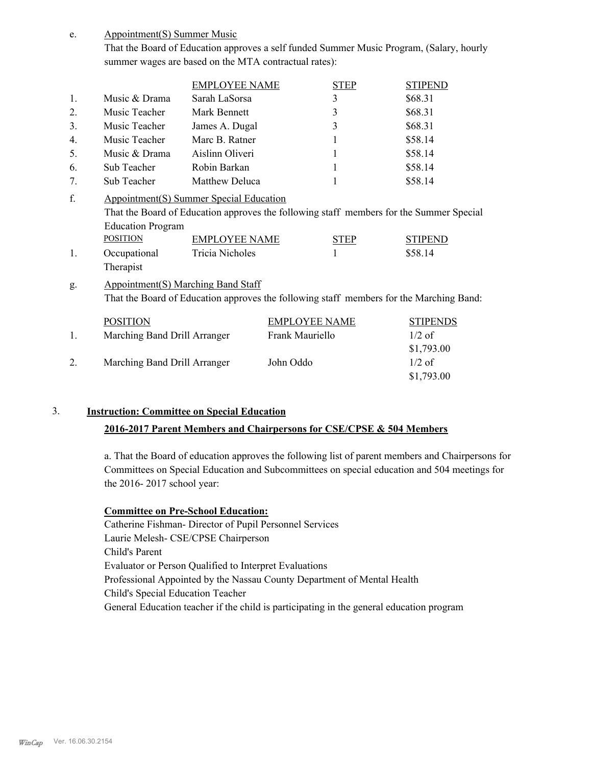Appointment(S) Summer Music e.

> That the Board of Education approves a self funded Summer Music Program, (Salary, hourly summer wages are based on the MTA contractual rates):

|                      |                                                                                                                                      | <b>EMPLOYEE NAME</b>                    |                      | <b>STEP</b> | <b>STIPEND</b>                                                                                                       |
|----------------------|--------------------------------------------------------------------------------------------------------------------------------------|-----------------------------------------|----------------------|-------------|----------------------------------------------------------------------------------------------------------------------|
| 1.                   | Music & Drama                                                                                                                        | Sarah LaSorsa                           |                      | 3           | \$68.31                                                                                                              |
| 2.                   | Music Teacher                                                                                                                        | Mark Bennett                            |                      | 3           | \$68.31                                                                                                              |
| 3.                   | Music Teacher                                                                                                                        | James A. Dugal                          |                      | 3           | \$68.31                                                                                                              |
| 4.                   | Music Teacher                                                                                                                        | Marc B. Ratner                          |                      | 1           | \$58.14                                                                                                              |
| 5.                   | Music & Drama                                                                                                                        | Aislinn Oliveri                         |                      | 1           | \$58.14                                                                                                              |
| 6.                   | Sub Teacher                                                                                                                          | Robin Barkan                            |                      | 1           | \$58.14                                                                                                              |
| 7.                   | Sub Teacher                                                                                                                          | Matthew Deluca                          |                      |             | \$58.14                                                                                                              |
| f.<br>$\mathbf{1}$ . | Appointment(S) Summer Special Education<br><b>Education Program</b><br><b>POSITION</b><br>Occupational<br>Therapist                  | <b>EMPLOYEE NAME</b><br>Tricia Nicholes |                      | <b>STEP</b> | That the Board of Education approves the following staff members for the Summer Special<br><b>STIPEND</b><br>\$58.14 |
| g.                   | <b>Appointment(S) Marching Band Staff</b><br>That the Board of Education approves the following staff members for the Marching Band: |                                         |                      |             |                                                                                                                      |
|                      | <b>POSITION</b>                                                                                                                      |                                         | <b>EMPLOYEE NAME</b> |             | <b>STIPENDS</b>                                                                                                      |
| 1.                   | Marching Band Drill Arranger                                                                                                         |                                         | Frank Mauriello      |             | $1/2$ of                                                                                                             |
|                      |                                                                                                                                      |                                         |                      |             | \$1,793.00                                                                                                           |
| 2.                   | Marching Band Drill Arranger                                                                                                         |                                         | John Oddo            |             | $1/2$ of                                                                                                             |

#### 3. **Instruction: Committee on Special Education**

#### **2016-2017 Parent Members and Chairpersons for CSE/CPSE & 504 Members**

a. That the Board of education approves the following list of parent members and Chairpersons for Committees on Special Education and Subcommittees on special education and 504 meetings for the 2016- 2017 school year:

\$1,793.00

#### **Committee on Pre-School Education:**

Catherine Fishman- Director of Pupil Personnel Services Laurie Melesh- CSE/CPSE Chairperson Child's Parent Evaluator or Person Qualified to Interpret Evaluations Professional Appointed by the Nassau County Department of Mental Health Child's Special Education Teacher General Education teacher if the child is participating in the general education program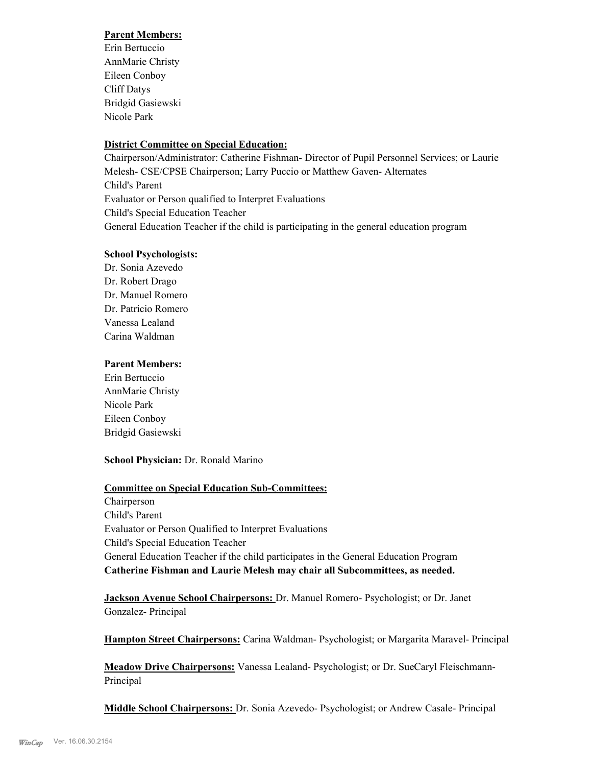#### **Parent Members:**

Erin Bertuccio AnnMarie Christy Eileen Conboy Cliff Datys Bridgid Gasiewski Nicole Park

#### **District Committee on Special Education:**

Chairperson/Administrator: Catherine Fishman- Director of Pupil Personnel Services; or Laurie Melesh- CSE/CPSE Chairperson; Larry Puccio or Matthew Gaven- Alternates Child's Parent Evaluator or Person qualified to Interpret Evaluations Child's Special Education Teacher General Education Teacher if the child is participating in the general education program

#### **School Psychologists:**

Dr. Sonia Azevedo Dr. Robert Drago Dr. Manuel Romero Dr. Patricio Romero Vanessa Lealand Carina Waldman

#### **Parent Members:**

Erin Bertuccio AnnMarie Christy Nicole Park Eileen Conboy Bridgid Gasiewski

#### **School Physician:** Dr. Ronald Marino

#### **Committee on Special Education Sub-Committees:**

Chairperson Child's Parent Evaluator or Person Qualified to Interpret Evaluations Child's Special Education Teacher General Education Teacher if the child participates in the General Education Program **Catherine Fishman and Laurie Melesh may chair all Subcommittees, as needed.**

**Jackson Avenue School Chairpersons:** Dr. Manuel Romero- Psychologist; or Dr. Janet Gonzalez- Principal

**Hampton Street Chairpersons:** Carina Waldman- Psychologist; or Margarita Maravel- Principal

**Meadow Drive Chairpersons:** Vanessa Lealand- Psychologist; or Dr. SueCaryl Fleischmann-Principal

**Middle School Chairpersons:** Dr. Sonia Azevedo- Psychologist; or Andrew Casale- Principal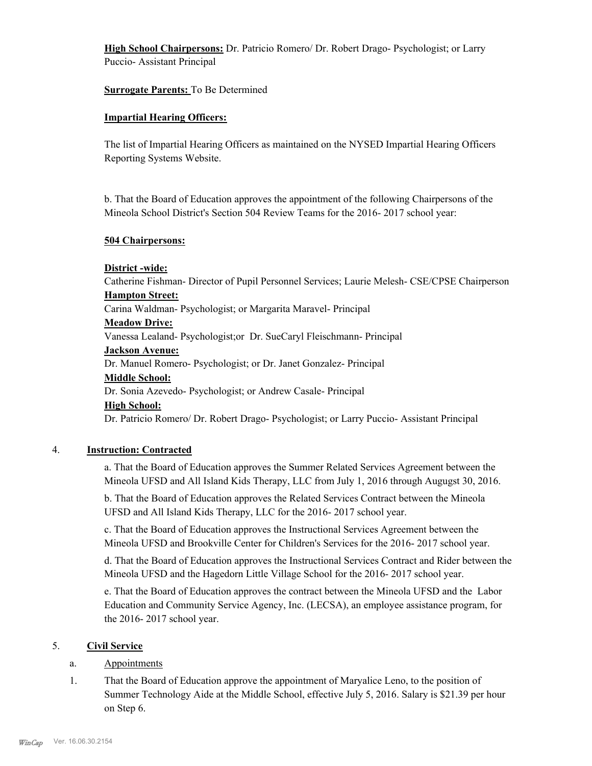**High School Chairpersons:** Dr. Patricio Romero/ Dr. Robert Drago- Psychologist; or Larry Puccio- Assistant Principal

#### **Surrogate Parents:** To Be Determined

#### **Impartial Hearing Officers:**

The list of Impartial Hearing Officers as maintained on the NYSED Impartial Hearing Officers Reporting Systems Website.

b. That the Board of Education approves the appointment of the following Chairpersons of the Mineola School District's Section 504 Review Teams for the 2016- 2017 school year:

#### **504 Chairpersons:**

#### **District -wide:**

Catherine Fishman- Director of Pupil Personnel Services; Laurie Melesh- CSE/CPSE Chairperson **Hampton Street:**

Carina Waldman- Psychologist; or Margarita Maravel- Principal

#### **Meadow Drive:**

Vanessa Lealand- Psychologist;or Dr. SueCaryl Fleischmann- Principal

#### **Jackson Avenue:**

Dr. Manuel Romero- Psychologist; or Dr. Janet Gonzalez- Principal

#### **Middle School:**

Dr. Sonia Azevedo- Psychologist; or Andrew Casale- Principal

#### **High School:**

Dr. Patricio Romero/ Dr. Robert Drago- Psychologist; or Larry Puccio- Assistant Principal

#### 4. **Instruction: Contracted**

a. That the Board of Education approves the Summer Related Services Agreement between the Mineola UFSD and All Island Kids Therapy, LLC from July 1, 2016 through Augugst 30, 2016.

b. That the Board of Education approves the Related Services Contract between the Mineola UFSD and All Island Kids Therapy, LLC for the 2016- 2017 school year.

c. That the Board of Education approves the Instructional Services Agreement between the Mineola UFSD and Brookville Center for Children's Services for the 2016- 2017 school year.

d. That the Board of Education approves the Instructional Services Contract and Rider between the Mineola UFSD and the Hagedorn Little Village School for the 2016- 2017 school year.

e. That the Board of Education approves the contract between the Mineola UFSD and the Labor Education and Community Service Agency, Inc. (LECSA), an employee assistance program, for the 2016- 2017 school year.

#### 5. **Civil Service**

#### a. Appointments

That the Board of Education approve the appointment of Maryalice Leno, to the position of Summer Technology Aide at the Middle School, effective July 5, 2016. Salary is \$21.39 per hour on Step 6. 1.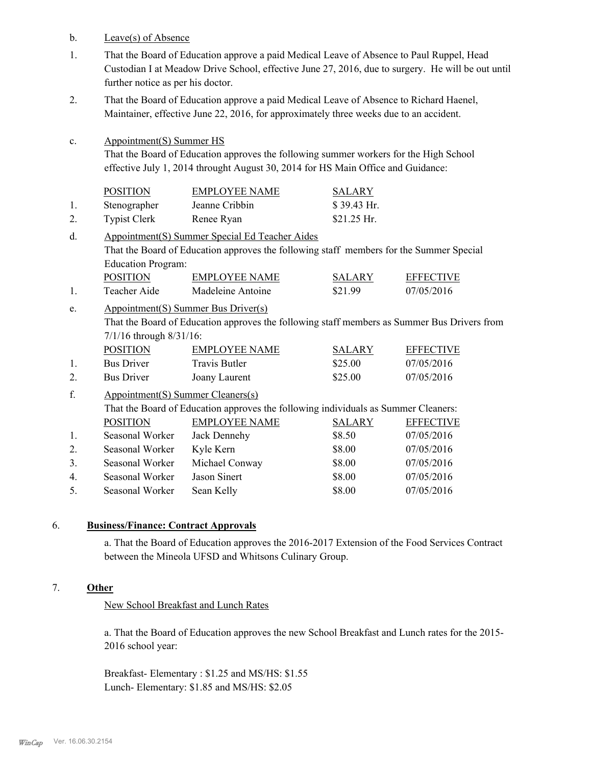b. Leave(s) of Absence

c.

- That the Board of Education approve a paid Medical Leave of Absence to Paul Ruppel, Head Custodian I at Meadow Drive School, effective June 27, 2016, due to surgery. He will be out until further notice as per his doctor. 1.
- That the Board of Education approve a paid Medical Leave of Absence to Richard Haenel, Maintainer, effective June 22, 2016, for approximately three weeks due to an accident. 2.
	- Appointment(S) Summer HS That the Board of Education approves the following summer workers for the High School effective July 1, 2014 throught August 30, 2014 for HS Main Office and Guidance:

|    | <b>POSITION</b>     | <b>EMPLOYEE NAME</b> | <b>SALARY</b> |
|----|---------------------|----------------------|---------------|
|    | Stenographer        | Jeanne Cribbin       | $$39.43$ Hr.  |
| 2. | <b>Typist Clerk</b> | Renee Ryan           | $$21.25$ Hr.  |

- Appointment(S) Summer Special Ed Teacher Aides That the Board of Education approves the following staff members for the Summer Special Education Program: d. POSITION EMPLOYEE NAME SALARY EFFECTIVE
- 1. Teacher Aide Madeleine Antoine \$21.99 07/05/2016
- Appointment(S) Summer Bus Driver(s) That the Board of Education approves the following staff members as Summer Bus Drivers from 7/1/16 through 8/31/16: e.

| <b>POSITION</b>   | EMPLOYEE NAME | <b>SALARY</b> | <b>EFFECTIVE</b> |
|-------------------|---------------|---------------|------------------|
| <b>Bus Driver</b> | Travis Butler | \$25.00       | 07/05/2016       |
| <b>Bus Driver</b> | Joany Laurent | \$25.00       | 07/05/2016       |

Appointment(S) Summer Cleaners(s) That the Board of Education approves the following individuals as Summer Cleaners: f. POSITION EMPLOYEE NAME SALARY EFFECTIVE 1. Seasonal Worker Jack Dennehy \$8.50 07/05/2016 2. Seasonal Worker Kyle Kern \$8.00 07/05/2016 3. Seasonal Worker Michael Conway \$8.00 07/05/2016 4. Seasonal Worker Jason Sinert \$8.00 07/05/2016 5. Seasonal Worker Sean Kelly \$8.00 07/05/2016

#### 6. **Business/Finance: Contract Approvals**

a. That the Board of Education approves the 2016-2017 Extension of the Food Services Contract between the Mineola UFSD and Whitsons Culinary Group.

#### 7. **Other**

New School Breakfast and Lunch Rates

a. That the Board of Education approves the new School Breakfast and Lunch rates for the 2015- 2016 school year:

Breakfast- Elementary : \$1.25 and MS/HS: \$1.55 Lunch- Elementary: \$1.85 and MS/HS: \$2.05